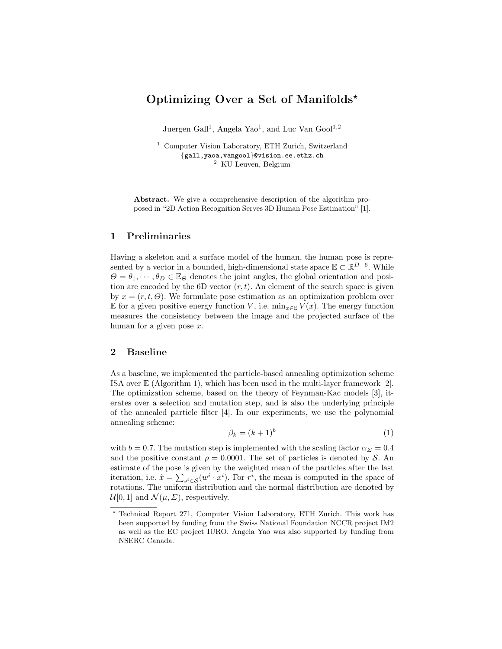# Optimizing Over a Set of Manifolds?

Juergen Gall<sup>1</sup>, Angela Yao<sup>1</sup>, and Luc Van Gool<sup>1,2</sup>

<sup>1</sup> Computer Vision Laboratory, ETH Zurich, Switzerland {gall,yaoa,vangool}@vision.ee.ethz.ch <sup>2</sup> KU Leuven, Belgium

Abstract. We give a comprehensive description of the algorithm proposed in "2D Action Recognition Serves 3D Human Pose Estimation" [1].

## 1 Preliminaries

Having a skeleton and a surface model of the human, the human pose is represented by a vector in a bounded, high-dimensional state space  $\mathbb{E} \subset \mathbb{R}^{D+6}$ . While  $\Theta = \theta_1, \dots, \theta_D \in \mathbb{E}_{\Theta}$  denotes the joint angles, the global orientation and position are encoded by the 6D vector  $(r, t)$ . An element of the search space is given by  $x = (r, t, \Theta)$ . We formulate pose estimation as an optimization problem over E for a given positive energy function V, i.e.  $\min_{x \in \mathbb{E}} V(x)$ . The energy function measures the consistency between the image and the projected surface of the human for a given pose  $x$ .

#### 2 Baseline

As a baseline, we implemented the particle-based annealing optimization scheme ISA over E (Algorithm 1), which has been used in the multi-layer framework [2]. The optimization scheme, based on the theory of Feynman-Kac models [3], iterates over a selection and mutation step, and is also the underlying principle of the annealed particle filter [4]. In our experiments, we use the polynomial annealing scheme:

$$
\beta_k = (k+1)^b \tag{1}
$$

with  $b = 0.7$ . The mutation step is implemented with the scaling factor  $\alpha_{\Sigma} = 0.4$ and the positive constant  $\rho = 0.0001$ . The set of particles is denoted by S. An estimate of the pose is given by the weighted mean of the particles after the last iteration, i.e.  $\hat{x} = \sum_{s^i \in \mathcal{S}} (w^i \cdot x^i)$ . For  $r^i$ , the mean is computed in the space of rotations. The uniform distribution and the normal distribution are denoted by  $\mathcal{U}[0, 1]$  and  $\mathcal{N}(\mu, \Sigma)$ , respectively.

<sup>?</sup> Technical Report 271, Computer Vision Laboratory, ETH Zurich. This work has been supported by funding from the Swiss National Foundation NCCR project IM2 as well as the EC project IURO. Angela Yao was also supported by funding from NSERC Canada.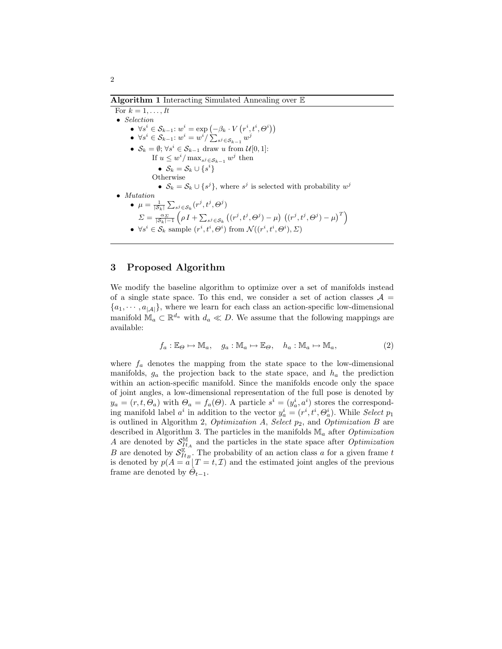For  $k = 1, \ldots, It$ • Selection •  $\forall s^i \in \mathcal{S}_{k-1}: w^i = \exp\left(-\beta_k \cdot V\left(r^i, t^i, \Theta^i\right)\right)$  $\bullet \;\; \forall s^i \in \mathcal{S}_{k-1} \colon w^i = w^i / \sum_{s^j \in \mathcal{S}_{k-1}} w^j$ •  $S_k = \emptyset; \forall s^i \in S_{k-1}$  draw u from  $\mathcal{U}[0,1]$ : If  $u \leq w^i / \max_{s^j \in S_{k-1}} w^j$  then  $\bullet\;\; \mathcal{S}_k=\mathcal{S}_k\cup \{s^i\}$ **Otherwise** •  $S_k = S_k \cup \{s^j\}$ , where  $s^j$  is selected with probability  $w^j$ • Mutation  $\bullet$   $\mu = \frac{1}{|\mathcal{S}_k|} \sum_{s^j \in \mathcal{S}_k} (r^j, t^j, \Theta^j)$  $\Sigma = \frac{\alpha_{\varSigma}}{|\mathcal{S}_k| - 1}\left(\rho\,I + \sum_{s^j \in \mathcal{S}_k}\left((r^j, t^j, \Theta^j) - \mu\right)\,\left((r^j, t^j, \Theta^j) - \mu\right)^T\right)$ 

•  $\forall s^i \in \mathcal{S}_k$  sample  $(r^i, t^i, \Theta^i)$  from  $\mathcal{N}((r^i, t^i, \Theta^i), \Sigma)$ 

#### 3 Proposed Algorithm

We modify the baseline algorithm to optimize over a set of manifolds instead of a single state space. To this end, we consider a set of action classes  $A =$  ${a_1, \dots, a_{|A|}}$ , where we learn for each class an action-specific low-dimensional manifold  $\mathbb{M}_a \subset \mathbb{R}^{d_a}$  with  $d_a \ll D$ . We assume that the following mappings are available:

$$
f_a: \mathbb{E}_{\Theta} \mapsto \mathbb{M}_a, \quad g_a: \mathbb{M}_a \mapsto \mathbb{E}_{\Theta}, \quad h_a: \mathbb{M}_a \mapsto \mathbb{M}_a,\tag{2}
$$

where  $f_a$  denotes the mapping from the state space to the low-dimensional manifolds,  $g_a$  the projection back to the state space, and  $h_a$  the prediction within an action-specific manifold. Since the manifolds encode only the space of joint angles, a low-dimensional representation of the full pose is denoted by  $y_a = (r, t, \Theta_a)$  with  $\Theta_a = f_a(\Theta)$ . A particle  $s^i = (y_a^i, a^i)$  stores the corresponding manifold label  $a^i$  in addition to the vector  $y_a^i = (r^i, t^i, \Theta_a^i)$ . While *Select*  $p_1$ is outlined in Algorithm 2, Optimization  $A$ , Select  $p_2$ , and Optimization  $B$  are described in Algorithm 3. The particles in the manifolds  $\mathbb{M}_a$  after *Optimization* A are denoted by  $\mathcal{S}_{ItA}^{\mathbb{M}}$  and the particles in the state space after  $\tilde{Optimization}$ B are denoted by  $\mathcal{S}_{It_B}^{\mathbb{E}}$ . The probability of an action class a for a given frame t is denoted by  $p(A = a | T = t, \mathcal{I})$  and the estimated joint angles of the previous frame are denoted by  $\hat{\Theta}_{t-1}$ .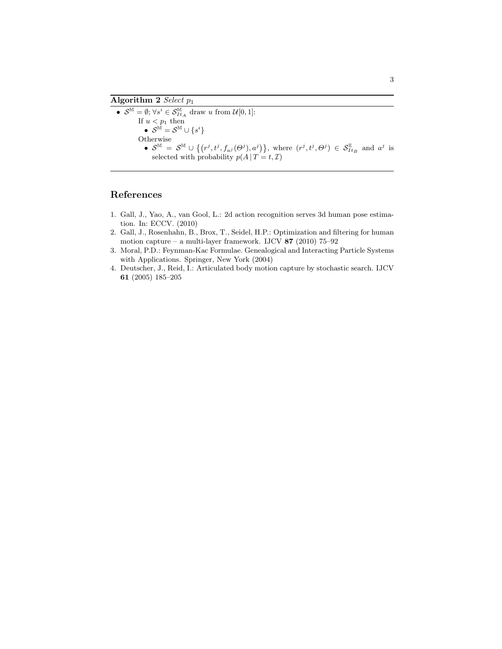#### Algorithm 2 Select  $p_1$

•  $S^{\mathbb{M}} = \emptyset$ ;  $\forall s^i \in S_{ItA}^{\mathbb{M}}$  draw u from  $\mathcal{U}[0,1]$ : If  $u < p_1$  then  $\bullet\;\;{\cal S}^{\tilde{\mathbb{M}}}={\cal S}^{\mathbb{M}}\cup\{s^i\}$ Otherwise •  $\mathcal{S}^{\mathbb{M}} = \mathcal{S}^{\mathbb{M}} \cup \{(r^j, t^j, f_{a^j}(\Theta^j), a^j)\},\$  where  $(r^j, t^j, \Theta^j) \in \mathcal{S}_{It_B}^{\mathbb{E}}$  and  $a^j$  is selected with probability  $p(A | T = t, \mathcal{I})$ 

# References

- 1. Gall, J., Yao, A., van Gool, L.: 2d action recognition serves 3d human pose estimation. In: ECCV. (2010)
- 2. Gall, J., Rosenhahn, B., Brox, T., Seidel, H.P.: Optimization and filtering for human motion capture – a multi-layer framework. IJCV  $87$  (2010) 75–92
- 3. Moral, P.D.: Feynman-Kac Formulae. Genealogical and Interacting Particle Systems with Applications. Springer, New York (2004)
- 4. Deutscher, J., Reid, I.: Articulated body motion capture by stochastic search. IJCV 61 (2005) 185–205